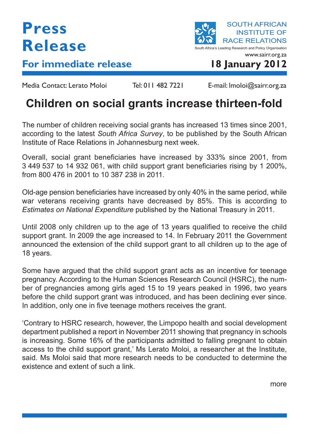## **Press Release**

**For immediate release 18 January 2012**

SOUTH AFRICAN INSTITUTE OF RACE RELATIONS South Africa's Leading Research and Policy Organisation www.sairr.org.za

Media Contact: Lerato Moloi Tel: 011 482 7221 E-mail: Imoloi@sairr.org.za

## **Children on social grants increase thirteen-fold**

The number of children receiving social grants has increased 13 times since 2001, according to the latest *South Africa Survey*, to be published by the South African Institute of Race Relations in Johannesburg next week.

Overall, social grant beneficiaries have increased by 333% since 2001, from 3 449 537 to 14 932 061, with child support grant beneficiaries rising by 1 200%, from 800 476 in 2001 to 10 387 238 in 2011.

Old-age pension beneficiaries have increased by only 40% in the same period, while war veterans receiving grants have decreased by 85%. This is according to *Estimates on National Expenditure* published by the National Treasury in 2011.

Until 2008 only children up to the age of 13 years qualified to receive the child support grant. In 2009 the age increased to 14. In February 2011 the Government announced the extension of the child support grant to all children up to the age of 18 years.

Some have argued that the child support grant acts as an incentive for teenage pregnancy. According to the Human Sciences Research Council (HSRC), the number of pregnancies among girls aged 15 to 19 years peaked in 1996, two years before the child support grant was introduced, and has been declining ever since. In addition, only one in five teenage mothers receives the grant.

'Contrary to HSRC research, however, the Limpopo health and social development department published a report in November 2011 showing that pregnancy in schools is increasing. Some 16% of the participants admitted to falling pregnant to obtain access to the child support grant,' Ms Lerato Moloi, a researcher at the Institute, said. Ms Moloi said that more research needs to be conducted to determine the existence and extent of such a link.

more